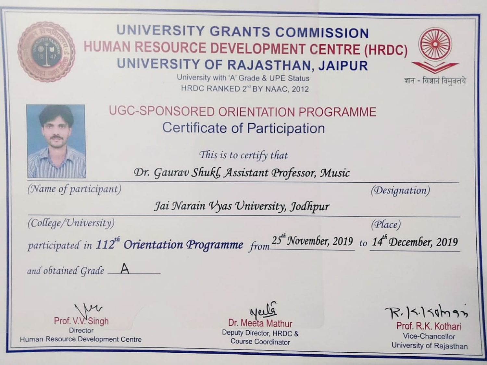

## UNIVERSITY GRANTS COMMISSION HUMAN RESOURCE DEVELOPMENT CENTRE (HRDC) UNIVERSITY OF RAJASTHAN, JAIPUR



University with 'A' Grade & UPE Status HRDC RANKED 2<sup>nd</sup> BY NAAC, 2012



UGC-SPONSORED ORIENTATION PROGRAMME Certificate of Participation

This is to certify that

Dr. Gaurav Shukl, Assistant Professor, Music

(Name of participant)

*(Designation)* 

Jai Narain Vyas University, Jodhpur

(College/University)

 $(Place)$ 

participated in 112<sup>th</sup> Orientation Programme from 25<sup>th</sup> November, 2019 to 14<sup>th</sup> December, 2019

and obtained Grade \_\_ A

Prof. V **Director** Human Resource Development Centre

Dr. Meeta Mathur Deputy Director, HRDC & **Course Coordinator** 

 $R.150m93$ Prof. R.K. Kothari

Vice-Chancellor University of Rajasthan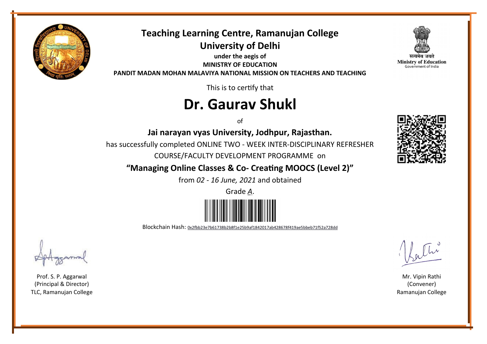

### **Teaching Learning Centre, Ramanujan College University of Delhi**

**under the aegis of MINISTRY OF EDUCATION PANDIT MADAN MOHAN MALAVIYA NATIONAL MISSION ON TEACHERS AND TEACHING**

This is to certify that

# **Dr. Gaurav Shukl**

of

### **Jai narayan vyas University, Jodhpur, Rajasthan.**

has successfully completed ONLINE TWO - WEEK INTER-DISCIPLINARY REFRESHER COURSE/FACULTY DEVELOPMENT PROGRAMME on

**"Managing Online Classes & Co- Creating MOOCS (Level 2)"**

from *02 - 16 June, 2021* and obtained

Grade *A*.



Blockchain Hash: [0x2fbb23e7b61738b2b8f1e25b9af1842017ab428678f419ae5bbeb71f52a728dd](https://certificatex.live/tx/0x2fbb23e7b61738b2b8f1e25b9af1842017ab428678f419ae5bbeb71f52a728dd)



**Ministry of Education** Government of India



Mr. Vipin Rathi (Convener) Ramanujan College

Prof. S. P. Aggarwal (Principal & Director) TLC, Ramanujan College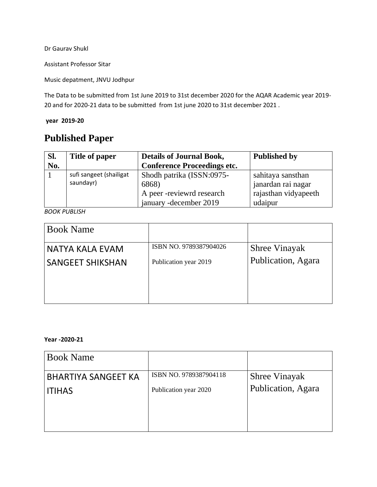Dr Gaurav Shukl

Assistant Professor Sitar

Music depatment, JNVU Jodhpur

The Data to be submitted from 1st June 2019 to 31st december 2020 for the AQAR Academic year 2019- 20 and for 2020-21 data to be submitted from 1st june 2020 to 31st december 2021 .

**year 2019-20**

### **Published Paper**

| SI. | Title of paper                       | <b>Details of Journal Book,</b>                                 | <b>Published by</b>                                             |
|-----|--------------------------------------|-----------------------------------------------------------------|-----------------------------------------------------------------|
| No. |                                      | <b>Conference Proceedings etc.</b>                              |                                                                 |
|     | sufi sangeet (shailigat<br>saundayr) | Shodh patrika (ISSN:0975-<br>6868)<br>A peer -reviewrd research | sahitaya sansthan<br>janardan rai nagar<br>rajasthan vidyapeeth |
|     |                                      | january - december 2019                                         | udaipur                                                         |

*BOOK PUBLISH*

| <b>Book Name</b>        |                        |                      |
|-------------------------|------------------------|----------------------|
| NATYA KALA EVAM         | ISBN NO. 9789387904026 | <b>Shree Vinayak</b> |
| <b>SANGEET SHIKSHAN</b> | Publication year 2019  | Publication, Agara   |
|                         |                        |                      |

#### **Year -2020-21**

| <b>Book Name</b>           |                        |                      |
|----------------------------|------------------------|----------------------|
| <b>BHARTIYA SANGEET KA</b> | ISBN NO. 9789387904118 | <b>Shree Vinayak</b> |
| <b>ITIHAS</b>              | Publication year 2020  | Publication, Agara   |
|                            |                        |                      |
|                            |                        |                      |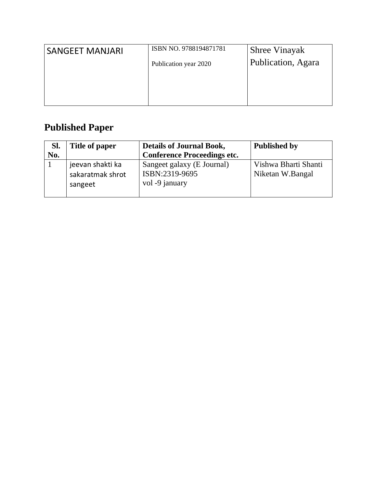| <b>SANGEET MANJARI</b> | ISBN NO. 9788194871781 | <b>Shree Vinayak</b> |
|------------------------|------------------------|----------------------|
|                        | Publication year 2020  | Publication, Agara   |
|                        |                        |                      |
|                        |                        |                      |
|                        |                        |                      |

### **Published Paper**

| SI. | Title of paper                                  | <b>Details of Journal Book,</b>                                | <b>Published by</b>                      |
|-----|-------------------------------------------------|----------------------------------------------------------------|------------------------------------------|
| No. |                                                 | <b>Conference Proceedings etc.</b>                             |                                          |
|     | jeevan shakti ka<br>sakaratmak shrot<br>sangeet | Sangeet galaxy (E Journal)<br>ISBN:2319-9695<br>vol -9 january | Vishwa Bharti Shanti<br>Niketan W.Bangal |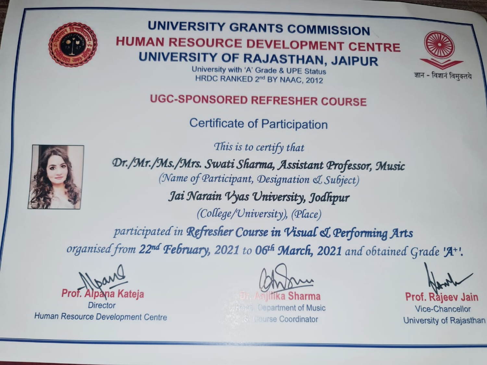

## **UNIVERSITY GRANTS COMMISSION HUMAN RESOURCE DEVELOPMENT CENTRE** UNIVERSITY OF RAJASTHAN, JAIPUR



University with 'A' Grade & UPE Status HRDC RANKED 2nd BY NAAC, 2012

### **UGC-SPONSORED REFRESHER COURSE**

**Certificate of Participation** 

This is to certify that



Dr./Mr./Ms./Mrs. Swati Sharma, Assistant Professor, Music (Name of Participant, Designation & Subject) Jai Narain Vyas University, Jodhpur (College/University), (Place) participated in Refresher Course in Visual & Performing Arts

organised from 22nd February, 2021 to 06th March, 2021 and obtained Grade 'A<sup>+1</sup>.

ana Kateia

Director Human Resource Development Centre



Prof. Raieey Jain Vice-Chancellor University of Rajasthan